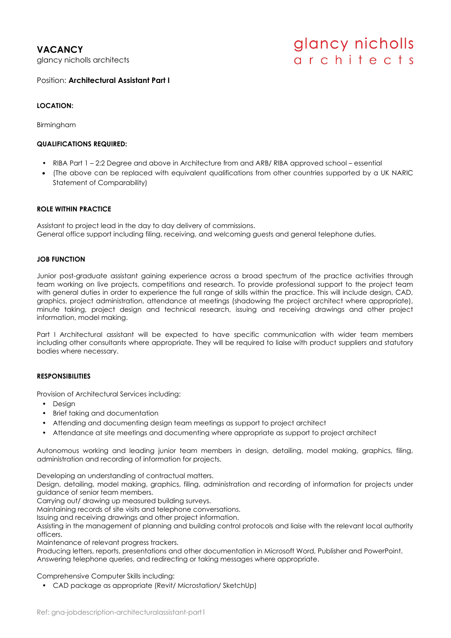**VACANCY** glancy nicholls architects

# glancy nicholls architects

Position: **Architectural Assistant Part I**

## **LOCATION:**

Birmingham

### **QUALIFICATIONS REQUIRED:**

- RIBA Part 1 2:2 Degree and above in Architecture from and ARB/ RIBA approved school essential
- (The above can be replaced with equivalent qualifications from other countries supported by a UK NARIC Statement of Comparability)

### **ROLE WITHIN PRACTICE**

Assistant to project lead in the day to day delivery of commissions. General office support including filing, receiving, and welcoming guests and general telephone duties.

#### **JOB FUNCTION**

Junior post-graduate assistant gaining experience across a broad spectrum of the practice activities through team working on live projects, competitions and research. To provide professional support to the project team with general duties in order to experience the full range of skills within the practice. This will include design, CAD, graphics, project administration, attendance at meetings (shadowing the project architect where appropriate), minute taking, project design and technical research, issuing and receiving drawings and other project information, model making.

Part I Architectural assistant will be expected to have specific communication with wider team members including other consultants where appropriate. They will be required to liaise with product suppliers and statutory bodies where necessary.

### **RESPONSIBILITIES**

Provision of Architectural Services including:

- Desian
- Brief taking and documentation
- Attending and documenting design team meetings as support to project architect
- Attendance at site meetings and documenting where appropriate as support to project architect

Autonomous working and leading junior team members in design, detailing, model making, graphics, filing, administration and recording of information for projects.

Developing an understanding of contractual matters.

Design, detailing, model making, graphics, filing, administration and recording of information for projects under guidance of senior team members.

Carrying out/ drawing up measured building surveys.

Maintaining records of site visits and telephone conversations.

Issuing and receiving drawings and other project information.

Assisting in the management of planning and building control protocols and liaise with the relevant local authority officers.

Maintenance of relevant progress trackers.

Producing letters, reports, presentations and other documentation in Microsoft Word, Publisher and PowerPoint. Answering telephone queries, and redirecting or taking messages where appropriate.

Comprehensive Computer Skills including:

• CAD package as appropriate (Revit/ Microstation/ SketchUp)